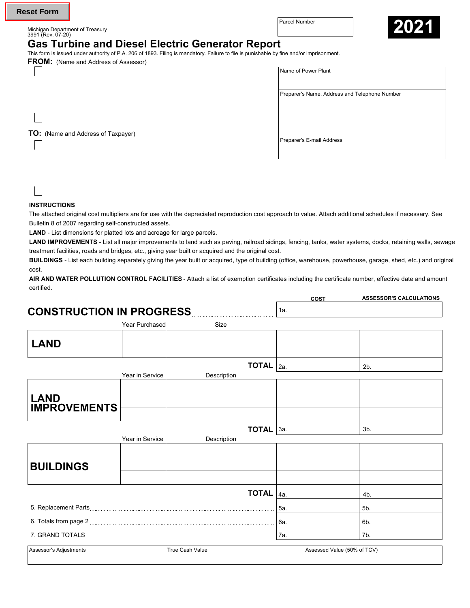Michigan Department of Treasury 3991 (Rev. 07-20)



# **Gas Turbine and Diesel Electric Generator Report**

This form is issued under authority of P.A. 206 of 1893. Filing is mandatory. Failure to file is punishable by fine and/or imprisonment.

**FROM:** (Name and Address of Assessor)

| Name of Power Plant |  |
|---------------------|--|
|                     |  |

Preparer's Name, Address and Telephone Number

**TO:** (Name and Address of Taxpayer)

### **INSTRUCTIONS**

The attached original cost multipliers are for use with the depreciated reproduction cost approach to value. Attach additional schedules if necessary. See Bulletin 8 of 2007 regarding self-constructed assets.

**LAND** - List dimensions for platted lots and acreage for large parcels.

LAND IMPROVEMENTS - List all major improvements to land such as paving, railroad sidings, fencing, tanks, water systems, docks, retaining walls, sewage treatment facilities, roads and bridges, etc., giving year built or acquired and the original cost.

**BUILDINGS** - List each building separately giving the year built or acquired, type of building (office, warehouse, powerhouse, garage, shed, etc.) and original cost.

**AIR AND WATER POLLUTION CONTROL FACILITIES** - Attach a list of exemption certificates including the certificate number, effective date and amount certified.

|                                                                                                                                                                                                                                      |                 |                        |     | COST                        | <b>ASSESSOR'S CALCULATIONS</b> |
|--------------------------------------------------------------------------------------------------------------------------------------------------------------------------------------------------------------------------------------|-----------------|------------------------|-----|-----------------------------|--------------------------------|
| <b>CONSTRUCTION IN PROGRESS</b>                                                                                                                                                                                                      |                 |                        | 1a. |                             |                                |
|                                                                                                                                                                                                                                      | Year Purchased  | Size                   |     |                             |                                |
| <b>LAND</b>                                                                                                                                                                                                                          |                 |                        |     |                             |                                |
|                                                                                                                                                                                                                                      |                 | <b>TOTAL</b> $ _{2a}$  |     |                             | 2 <sub>b</sub>                 |
|                                                                                                                                                                                                                                      | Year in Service | Description            |     |                             |                                |
|                                                                                                                                                                                                                                      |                 |                        |     |                             |                                |
| <b>LAND</b><br><b>IMPROVEMENTS</b>                                                                                                                                                                                                   |                 |                        |     |                             |                                |
|                                                                                                                                                                                                                                      |                 |                        |     |                             |                                |
|                                                                                                                                                                                                                                      |                 | TOTAL 3a.              |     |                             | $3b$ .                         |
|                                                                                                                                                                                                                                      | Year in Service | Description            |     |                             |                                |
|                                                                                                                                                                                                                                      |                 |                        |     |                             |                                |
| <b>BUILDINGS</b>                                                                                                                                                                                                                     |                 |                        |     |                             |                                |
|                                                                                                                                                                                                                                      |                 |                        |     |                             |                                |
|                                                                                                                                                                                                                                      |                 | <b>TOTAL</b>           | 4a. |                             | 4b.                            |
| 5. Replacement Parts                                                                                                                                                                                                                 |                 |                        | 5а. |                             | 5b.                            |
| 6. Totals from page 2 <b>Constanting the Constantine Constanting of the Constantine Constanting Constanting Constanting Constanting Constanting Constanting Constanting Constanting Constanting Constanting Constanting Constant</b> |                 |                        | 6а. |                             | 6b.                            |
| 7. GRAND TOTALS <b>And All Accounts 7. GRAND TOTALS</b>                                                                                                                                                                              |                 |                        | 7а. |                             | 7b.                            |
| Assessor's Adjustments                                                                                                                                                                                                               |                 | <b>True Cash Value</b> |     | Assessed Value (50% of TCV) |                                |